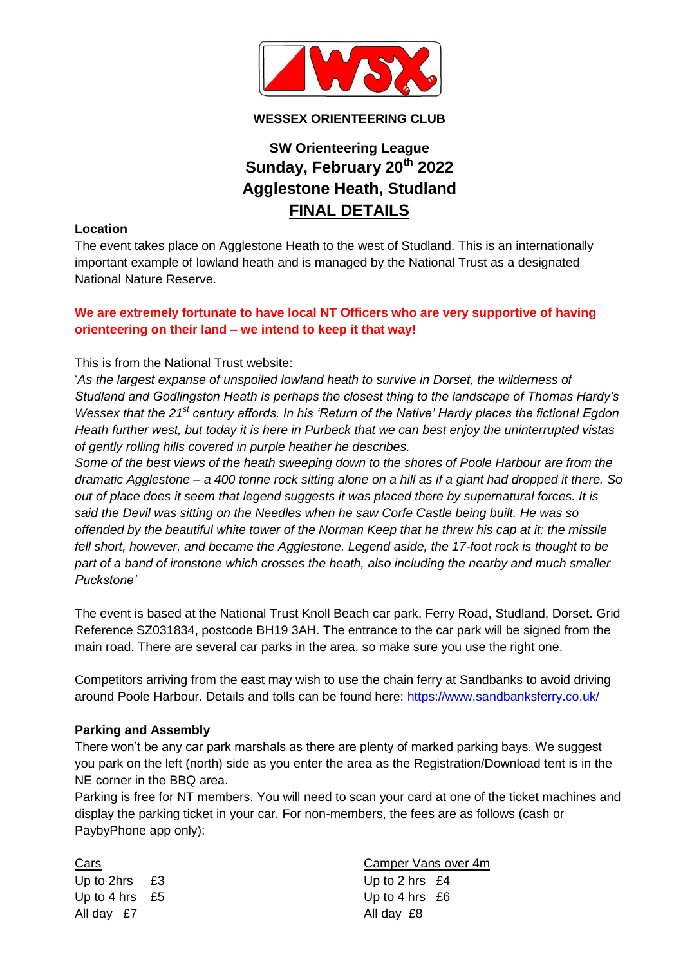

#### **WESSEX ORIENTEERING CLUB**

# **SW Orienteering League Sunday, February 20th 2022 Agglestone Heath, Studland FINAL DETAILS**

#### **Location**

The event takes place on Agglestone Heath to the west of Studland. This is an internationally important example of lowland heath and is managed by the National Trust as a designated National Nature Reserve.

### **We are extremely fortunate to have local NT Officers who are very supportive of having orienteering on their land – we intend to keep it that way!**

#### This is from the National Trust website:

'*As the largest expanse of unspoiled lowland heath to survive in Dorset, the wilderness of Studland and Godlingston Heath is perhaps the closest thing to the landscape of Thomas Hardy's Wessex that the 21st century affords. In his 'Return of the Native' Hardy places the fictional Egdon Heath further west, but today it is here in Purbeck that we can best enjoy the uninterrupted vistas of gently rolling hills covered in purple heather he describes.*

*Some of the best views of the heath sweeping down to the shores of Poole Harbour are from the dramatic Agglestone – a 400 tonne rock sitting alone on a hill as if a giant had dropped it there. So out of place does it seem that legend suggests it was placed there by supernatural forces. It is said the Devil was sitting on the Needles when he saw Corfe Castle being built. He was so offended by the beautiful white tower of the Norman Keep that he threw his cap at it: the missile fell short, however, and became the Agglestone. Legend aside, the 17-foot rock is thought to be*  part of a band of ironstone which crosses the heath, also including the nearby and much smaller *Puckstone'*

The event is based at the National Trust Knoll Beach car park, Ferry Road, Studland, Dorset. Grid Reference SZ031834, postcode BH19 3AH. The entrance to the car park will be signed from the main road. There are several car parks in the area, so make sure you use the right one.

Competitors arriving from the east may wish to use the chain ferry at Sandbanks to avoid driving around Poole Harbour. Details and tolls can be found here:<https://www.sandbanksferry.co.uk/>

#### **Parking and Assembly**

There won't be any car park marshals as there are plenty of marked parking bays. We suggest you park on the left (north) side as you enter the area as the Registration/Download tent is in the NE corner in the BBQ area.

Parking is free for NT members. You will need to scan your card at one of the ticket machines and display the parking ticket in your car. For non-members, the fees are as follows (cash or PaybyPhone app only):

All day £7 All day 28

Cars Camper Vans over 4m Up to 2hrs £3 Up to 2 hrs £4 Up to 4 hrs £5 Up to 4 hrs £6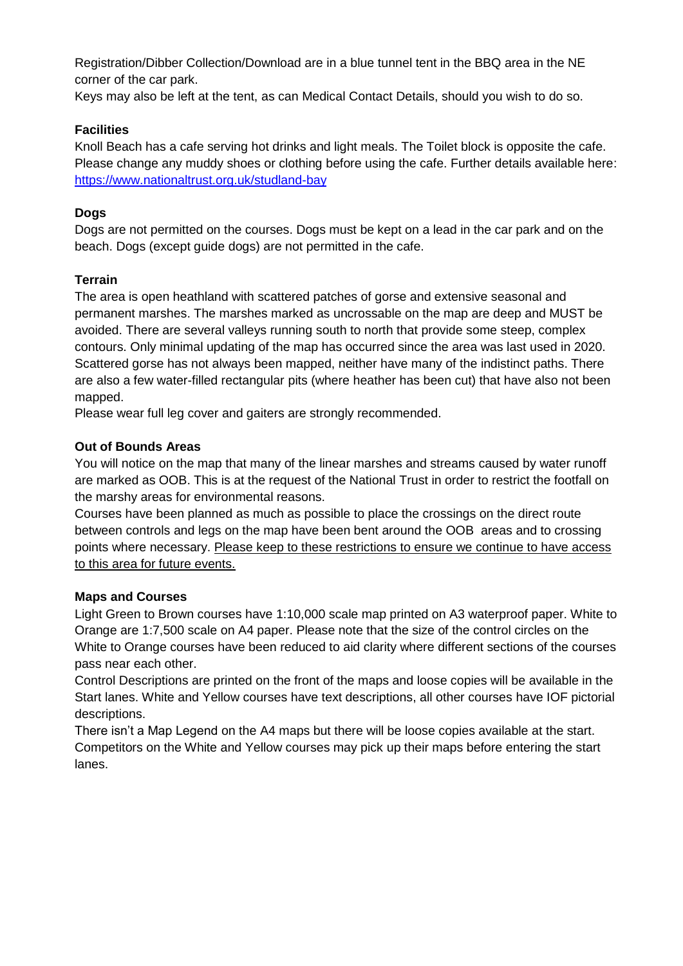Registration/Dibber Collection/Download are in a blue tunnel tent in the BBQ area in the NE corner of the car park.

Keys may also be left at the tent, as can Medical Contact Details, should you wish to do so.

# **Facilities**

Knoll Beach has a cafe serving hot drinks and light meals. The Toilet block is opposite the cafe. Please change any muddy shoes or clothing before using the cafe. Further details available here: <https://www.nationaltrust.org.uk/studland-bay>

# **Dogs**

Dogs are not permitted on the courses. Dogs must be kept on a lead in the car park and on the beach. Dogs (except guide dogs) are not permitted in the cafe.

### **Terrain**

The area is open heathland with scattered patches of gorse and extensive seasonal and permanent marshes. The marshes marked as uncrossable on the map are deep and MUST be avoided. There are several valleys running south to north that provide some steep, complex contours. Only minimal updating of the map has occurred since the area was last used in 2020. Scattered gorse has not always been mapped, neither have many of the indistinct paths. There are also a few water-filled rectangular pits (where heather has been cut) that have also not been mapped.

Please wear full leg cover and gaiters are strongly recommended.

### **Out of Bounds Areas**

You will notice on the map that many of the linear marshes and streams caused by water runoff are marked as OOB. This is at the request of the National Trust in order to restrict the footfall on the marshy areas for environmental reasons.

Courses have been planned as much as possible to place the crossings on the direct route between controls and legs on the map have been bent around the OOB areas and to crossing points where necessary. Please keep to these restrictions to ensure we continue to have access to this area for future events.

### **Maps and Courses**

Light Green to Brown courses have 1:10,000 scale map printed on A3 waterproof paper. White to Orange are 1:7,500 scale on A4 paper. Please note that the size of the control circles on the White to Orange courses have been reduced to aid clarity where different sections of the courses pass near each other.

Control Descriptions are printed on the front of the maps and loose copies will be available in the Start lanes. White and Yellow courses have text descriptions, all other courses have IOF pictorial descriptions.

There isn't a Map Legend on the A4 maps but there will be loose copies available at the start. Competitors on the White and Yellow courses may pick up their maps before entering the start lanes.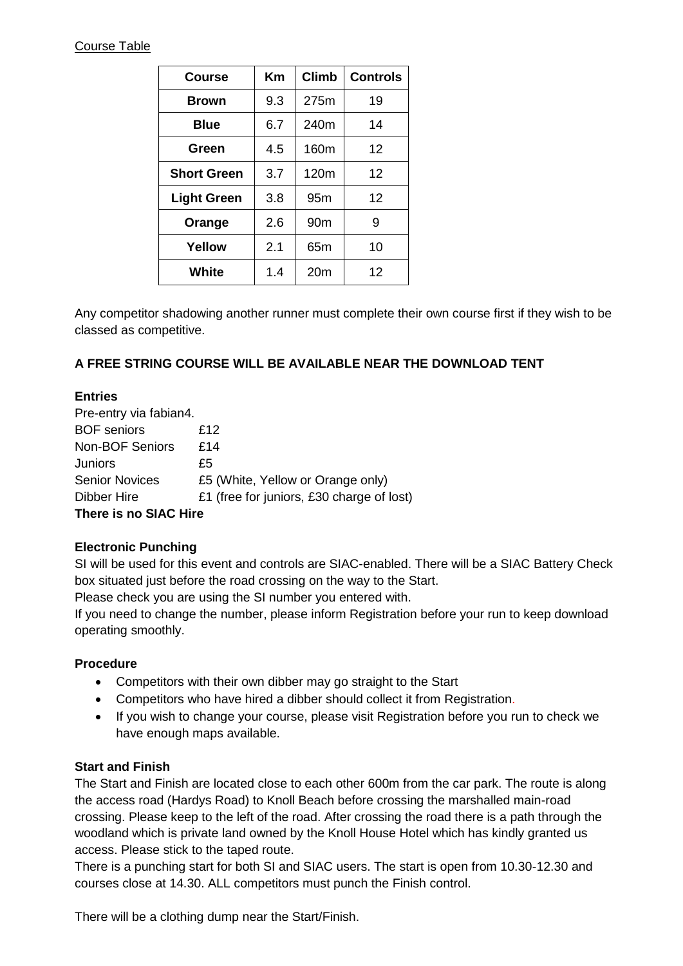### Course Table

| <b>Course</b>      | Кm  | <b>Climb</b>    | <b>Controls</b> |
|--------------------|-----|-----------------|-----------------|
| <b>Brown</b>       | 9.3 | 275m            | 19              |
| <b>Blue</b>        | 6.7 | 240m            | 14              |
| Green              | 4.5 | 160m            | 12              |
| <b>Short Green</b> | 3.7 | 120m            | 12              |
| <b>Light Green</b> | 3.8 | 95 <sub>m</sub> | 12              |
| Orange             | 2.6 | 90 <sub>m</sub> | 9               |
| Yellow             | 2.1 | 65 <sub>m</sub> | 10              |
| White              | 1.4 | 20m             | 12              |

Any competitor shadowing another runner must complete their own course first if they wish to be classed as competitive.

# **A FREE STRING COURSE WILL BE AVAILABLE NEAR THE DOWNLOAD TENT**

### **Entries**

| Pre-entry via fabian4. |                                           |
|------------------------|-------------------------------------------|
| <b>BOF</b> seniors     | £12                                       |
| <b>Non-BOF Seniors</b> | £14                                       |
| Juniors                | £5                                        |
| <b>Senior Novices</b>  | £5 (White, Yellow or Orange only)         |
| <b>Dibber Hire</b>     | £1 (free for juniors, £30 charge of lost) |
| There is no SIAC Hire  |                                           |

### **Electronic Punching**

SI will be used for this event and controls are SIAC-enabled. There will be a SIAC Battery Check box situated just before the road crossing on the way to the Start.

Please check you are using the SI number you entered with.

If you need to change the number, please inform Registration before your run to keep download operating smoothly.

#### **Procedure**

- Competitors with their own dibber may go straight to the Start
- Competitors who have hired a dibber should collect it from Registration.
- If you wish to change your course, please visit Registration before you run to check we have enough maps available.

#### **Start and Finish**

The Start and Finish are located close to each other 600m from the car park. The route is along the access road (Hardys Road) to Knoll Beach before crossing the marshalled main-road crossing. Please keep to the left of the road. After crossing the road there is a path through the woodland which is private land owned by the Knoll House Hotel which has kindly granted us access. Please stick to the taped route.

There is a punching start for both SI and SIAC users. The start is open from 10.30-12.30 and courses close at 14.30. ALL competitors must punch the Finish control.

There will be a clothing dump near the Start/Finish.